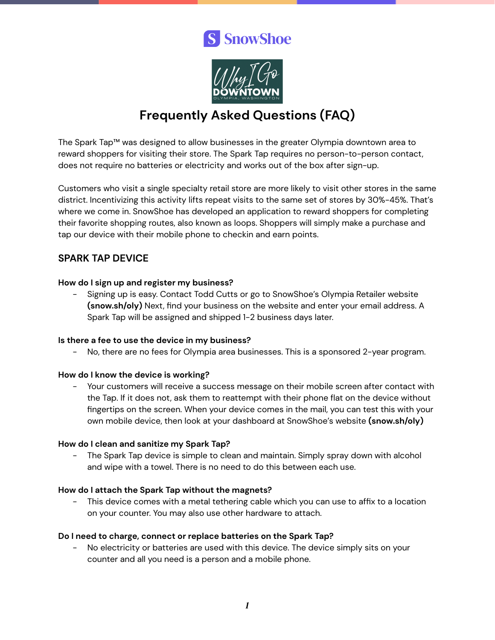# S SnowShoe



## **Frequently Asked Questions (FAQ)**

The Spark Tap™ was designed to allow businesses in the greater Olympia downtown area to reward shoppers for visiting their store. The Spark Tap requires no person-to-person contact, does not require no batteries or electricity and works out of the box after sign-up.

Customers who visit a single specialty retail store are more likely to visit other stores in the same district. Incentivizing this activity lifts repeat visits to the same set of stores by 30%-45%. That's where we come in. SnowShoe has developed an application to reward shoppers for completing their favorite shopping routes, also known as loops. Shoppers will simply make a purchase and tap our device with their mobile phone to checkin and earn points.

## **SPARK TAP DEVICE**

#### **How do I sign up and register my business?**

- Signing up is easy. Contact Todd Cutts or go to SnowShoe's Olympia Retailer website **(snow.sh/oly)** Next, find your business on the website and enter your email address. A Spark Tap will be assigned and shipped 1-2 business days later.

#### **Is there a fee to use the device in my business?**

- No, there are no fees for Olympia area businesses. This is a sponsored 2-year program.

#### **How do I know the device is working?**

- Your customers will receive a success message on their mobile screen after contact with the Tap. If it does not, ask them to reattempt with their phone flat on the device without fingertips on the screen. When your device comes in the mail, you can test this with your own mobile device, then look at your dashboard at SnowShoe's website **(snow.sh/oly)**

#### **How do I clean and sanitize my Spark Tap?**

- The Spark Tap device is simple to clean and maintain. Simply spray down with alcohol and wipe with a towel. There is no need to do this between each use.

#### **How do I attach the Spark Tap without the magnets?**

This device comes with a metal tethering cable which you can use to affix to a location on your counter. You may also use other hardware to attach.

#### **Do I need to charge, connect or replace batteries on the Spark Tap?**

No electricity or batteries are used with this device. The device simply sits on your counter and all you need is a person and a mobile phone.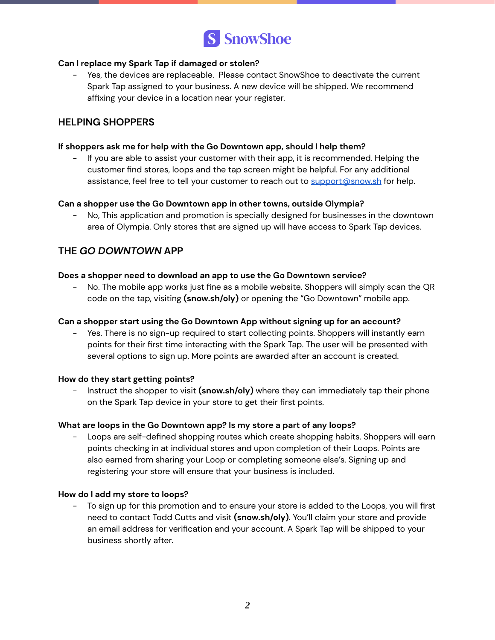

#### **Can I replace my Spark Tap if damaged or stolen?**

- Yes, the devices are replaceable. Please contact SnowShoe to deactivate the current Spark Tap assigned to your business. A new device will be shipped. We recommend affixing your device in a location near your register.

## **HELPING SHOPPERS**

#### **If shoppers ask me for help with the Go Downtown app, should I help them?**

- If you are able to assist your customer with their app, it is recommended. Helping the customer find stores, loops and the tap screen might be helpful. For any additional assistance, feel free to tell your customer to reach out to [support@snow.sh](mailto:support@snow.sh) for help.

#### **Can a shopper use the Go Downtown app in other towns, outside Olympia?**

- No, This application and promotion is specially designed for businesses in the downtown area of Olympia. Only stores that are signed up will have access to Spark Tap devices.

## **THE** *GO DOWNTOWN* **APP**

#### **Does a shopper need to download an app to use the Go Downtown service?**

- No. The mobile app works just fine as a mobile website. Shoppers will simply scan the QR code on the tap, visiting **(snow.sh/oly)** or opening the "Go Downtown" mobile app.

#### **Can a shopper start using the Go Downtown App without signing up for an account?**

Yes. There is no sign-up required to start collecting points. Shoppers will instantly earn points for their first time interacting with the Spark Tap. The user will be presented with several options to sign up. More points are awarded after an account is created.

#### **How do they start getting points?**

- Instruct the shopper to visit **(snow.sh/oly)** where they can immediately tap their phone on the Spark Tap device in your store to get their first points.

#### **What are loops in the Go Downtown app? Is my store a part of any loops?**

- Loops are self-defined shopping routes which create shopping habits. Shoppers will earn points checking in at individual stores and upon completion of their Loops. Points are also earned from sharing your Loop or completing someone else's. Signing up and registering your store will ensure that your business is included.

#### **How do I add my store to loops?**

- To sign up for this promotion and to ensure your store is added to the Loops, you will first need to contact Todd Cutts and visit **(snow.sh/oly)**. You'll claim your store and provide an email address for verification and your account. A Spark Tap will be shipped to your business shortly after.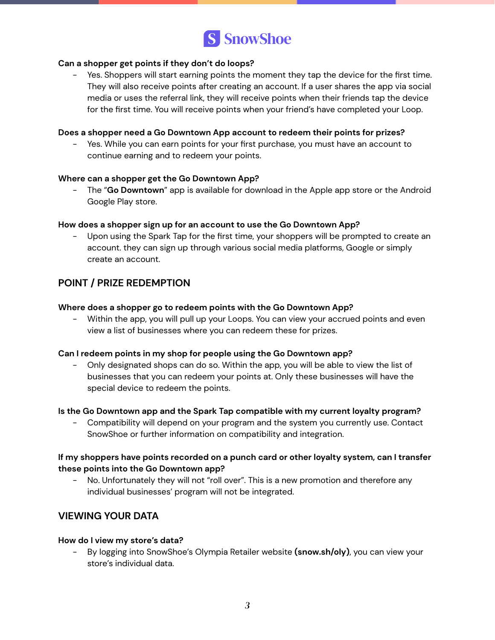

#### **Can a shopper get points if they don't do loops?**

- Yes. Shoppers will start earning points the moment they tap the device for the first time. They will also receive points after creating an account. If a user shares the app via social media or uses the referral link, they will receive points when their friends tap the device for the first time. You will receive points when your friend's have completed your Loop.

#### **Does a shopper need a Go Downtown App account to redeem their points for prizes?**

- Yes. While you can earn points for your first purchase, you must have an account to continue earning and to redeem your points.

#### **Where can a shopper get the Go Downtown App?**

- The "**Go Downtown**" app is available for download in the Apple app store or the Android Google Play store.

#### **How does a shopper sign up for an account to use the Go Downtown App?**

Upon using the Spark Tap for the first time, your shoppers will be prompted to create an account. they can sign up through various social media platforms, Google or simply create an account.

## **POINT / PRIZE REDEMPTION**

#### **Where does a shopper go to redeem points with the Go Downtown App?**

Within the app, you will pull up your Loops. You can view your accrued points and even view a list of businesses where you can redeem these for prizes.

#### **Can I redeem points in my shop for people using the Go Downtown app?**

- Only designated shops can do so. Within the app, you will be able to view the list of businesses that you can redeem your points at. Only these businesses will have the special device to redeem the points.

#### **Is the Go Downtown app and the Spark Tap compatible with my current loyalty program?**

- Compatibility will depend on your program and the system you currently use. Contact SnowShoe or further information on compatibility and integration.

#### **If my shoppers have points recorded on a punch card or other loyalty system, can I transfer these points into the Go Downtown app?**

- No. Unfortunately they will not "roll over". This is a new promotion and therefore any individual businesses' program will not be integrated.

## **VIEWING YOUR DATA**

#### **How do I view my store's data?**

- By logging into SnowShoe's Olympia Retailer website **(snow.sh/oly)**, you can view your store's individual data.